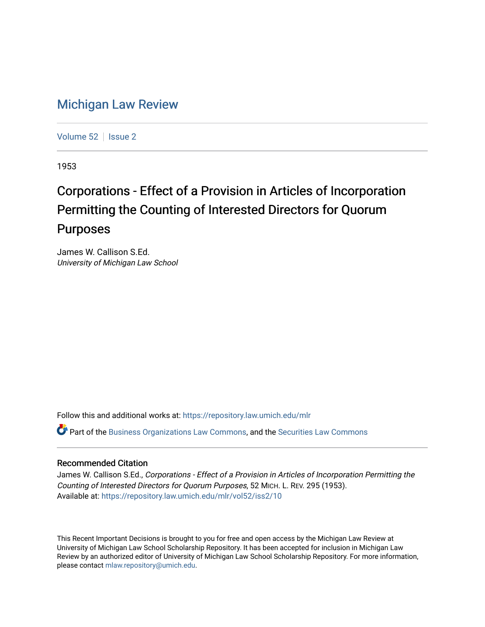## [Michigan Law Review](https://repository.law.umich.edu/mlr)

[Volume 52](https://repository.law.umich.edu/mlr/vol52) | [Issue 2](https://repository.law.umich.edu/mlr/vol52/iss2)

1953

## Corporations - Effect of a Provision in Articles of Incorporation Permitting the Counting of Interested Directors for Quorum Purposes

James W. Callison S.Ed. University of Michigan Law School

Follow this and additional works at: [https://repository.law.umich.edu/mlr](https://repository.law.umich.edu/mlr?utm_source=repository.law.umich.edu%2Fmlr%2Fvol52%2Fiss2%2F10&utm_medium=PDF&utm_campaign=PDFCoverPages) 

 $\bullet$  Part of the [Business Organizations Law Commons](http://network.bepress.com/hgg/discipline/900?utm_source=repository.law.umich.edu%2Fmlr%2Fvol52%2Fiss2%2F10&utm_medium=PDF&utm_campaign=PDFCoverPages), and the Securities Law Commons

## Recommended Citation

James W. Callison S.Ed., Corporations - Effect of a Provision in Articles of Incorporation Permitting the Counting of Interested Directors for Quorum Purposes, 52 MICH. L. REV. 295 (1953). Available at: [https://repository.law.umich.edu/mlr/vol52/iss2/10](https://repository.law.umich.edu/mlr/vol52/iss2/10?utm_source=repository.law.umich.edu%2Fmlr%2Fvol52%2Fiss2%2F10&utm_medium=PDF&utm_campaign=PDFCoverPages) 

This Recent Important Decisions is brought to you for free and open access by the Michigan Law Review at University of Michigan Law School Scholarship Repository. It has been accepted for inclusion in Michigan Law Review by an authorized editor of University of Michigan Law School Scholarship Repository. For more information, please contact [mlaw.repository@umich.edu.](mailto:mlaw.repository@umich.edu)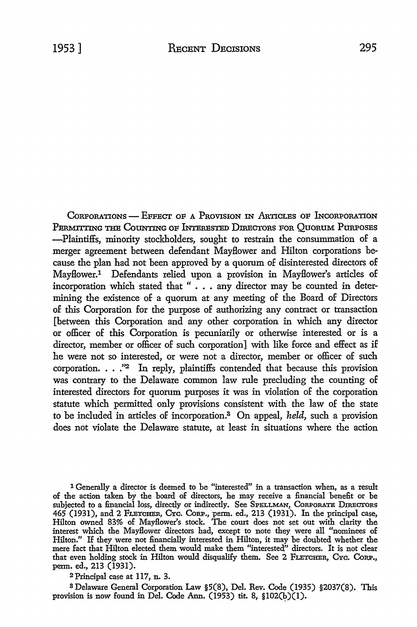CORPORATIONS - EFFECT OF A PROVISION IN ARTICLES OF INCORPORATION PERMITTING THE COUNTING OF INTERESTED DIRECTORS FOR OUORUM PURPOSES -Plaintiffs, minority stockholders, sought to restrain the consummation of a merger agreement between defendant Mayflower and Hilton corporations because the plan had not been approved by a quorum of disinterested directors of Mayflower.1 Defendants relied upon a provision in Mayflower's articles of incorporation which stated that " . . . any director may be counted in determining the existence of a quorum at any meeting of the Board of Directors of this Corporation for the purpose of authorizing any contract or transaction [between this Corporation and any other corporation in which any director or officer of this Corporation is pecuniarily or otherwise interested or is a director, member or officer of such corporation] with like force and effect as if he were not so interested, or were not a director, member or officer of such corporation. . . *.'12* In reply, plaintiffs contended that because this provision was contrary to the Delaware common law rule precluding the counting of interested directors for quorum purposes it was in violation of the corporation statute which permitted only provisions consistent with the law of the state to be included in articles of incorporation.3 On appeal, *held,* such a provision does not violate the Delaware statute, at least in situations where the action

1 Generally a director is deemed to be "interested" in a transaction when, as a result of the action taken by the board of directors, he may receive a financial benefit or be subjected to a financial loss, directly or indirectly. See SPELLMAN, CORPORATE DIRECTORS 465 (1931), and 2 FLETCHER, Cyc. CORP., perm. ed., 213 (1931). In the principal case, Hilton owned 83% of Mayflower's stock. The court does not set out with clarity the interest which the Mayflower directors had, except to note they were all "nominees of Hilton." If they were not financially interested in Hilton, it may be doubted whether the mere fact that Hilton elected them would make them "interested" directors. It is not clear that even holding stock in Hilton would disqualify them. See 2 FLETCHER, Cyc. CORP., perm. ed., 213 (1931).

2Principal case at 117, n. 3.

a Delaware General Corporation Law §5(8), Del. Rev. Code (1935) §2037(8). This provision is now found in Del. Code Ann. (1953) tit. 8,  $$102(b)(1)$ .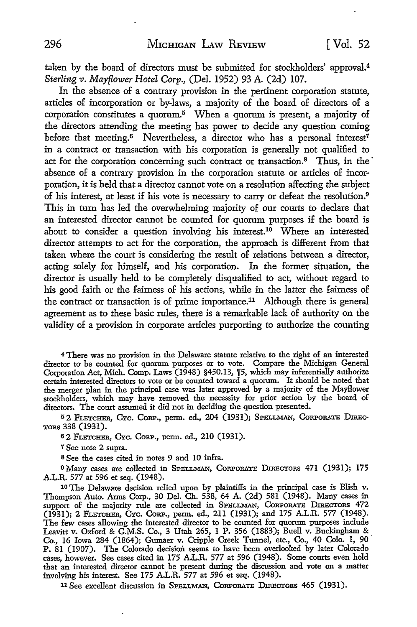taken by the board of directors must be submitted for stockholders' approval.<sup>4</sup> *Sterling v. Mayflower Hotel Corp.,* (Del. 1952) 93 A. (2d) 107.

In the absence of a contrary provision in the pertinent corporation statute, articles of incorporation or by-laws, a majority of the board of directors of a corporation constitutes a quorum.<sup>5</sup> When a quorum is present, a majority of the directors attending the meeting has power to decide any question coming before that meeting.<sup>6</sup> Nevertheless, a director who has a personal interest<sup>7</sup> in a contract or transaction with his corporation is generally not qualified to act for the corporation concerning such contract or transaction.<sup>8</sup> Thus, in the absence of a contrary provision in the corporation statute or articles of incorporation, it is held that a director cannot vote on a resolution affecting the subject of his interest, at least if his vote is necessary to carry or defeat the resolution.<sup>9</sup> This in turn has led the overwhelming majority of our courts *to* declare that an interested director cannot be counted for quorum purposes if the board is about to consider a question involving his interest.<sup>10</sup> Where an interested director attempts to act for the corporation, the approach is different from that taken where the court is considering the result of relations between a director, acting solely for himself, and his corporation. In the former situation, the director is usually held to be completely disqualified *to* act, without regard to his good faith or the fairness of his actions, while in the latter the fairness of the contract or transaction is of prime importance.11 Although there is general agreement as to these basic rules, there is a remarkable lack of authority on the validity of a provision in corporate articles purporting to authorize the counting

<sup>4</sup>There was no provision in the Delaware statute relative to the right of an interested director to- be counted for quorum purposes or to vote. Compare the Michigan General Corporation Act, Mich. Comp. Laws (1948) §450.13, 1[5, which may inferentially authorize certain interested directors to vote or be counted toward a quorum. It should be noted that the merger plan in the principal case was later approved by a majority of the Mayflower stockholders, which may have removed the necessity for prior action by the board of directors. The court assumed it did not in deciding the question presented.

52 FLETCHER, CYC. CORP., perm. ed., 204 (1931); SPELLMAN, CORPORATE DIREC-TORs 338 (1931),

<sup>6</sup>2 FLETCHER, CYc. CoRP., perm. ed., 210 (1931).

7 See note 2 supra.

<sup>8</sup>See the cases cited in notes 9 and IO infra.

<sup>9</sup>Many cases are collected in SPELLMAN, CoRPoRATE DIRECTORS 471 (1931); 175 A.L.R. 577 at 596 et seq. (1948).

10 The Delaware decision relied upon by plaintiffs in the principal case is Blish v. Thompson Auto. Arms Corp., 30 Del. Ch. 538, 64 A. (2d) 581 (1948). Many cases in support of the majority rule are collected in SPELLMAN, CoRPORATE DIRECTORS 472 (1931); 2 FLETCHER, CYc. CoRP., perm. ed., 211 (1931); and 175 A.L.R. 577 (1948). The few cases allowing the interested director to be counted for quorum purposes include Leavitt v. Oxford & G.M.S. Co., 3 Utah 265, l P. 356 (1883); Buell v. Buckingham & Co., 16 Iowa 284 (1864); Gumaer v. Cripple Creek Tunnel, etc., Co., 40 Colo. 1, 90 · P. 81 (1907). The Colorado decision seems to have been overlooked by later Colorado cases, however. See cases cited in 175 A.L.R. 577 at 596 (1948). Some courts even hold that an interested director cannot be present during the discussion and vote on a matter involving his interest. See 175 A.L.R. 577 at 596 et seq. (1948).

11 See excellent discussion in SPELLMAN, CORPORATE DIRECTORS 465 (1931).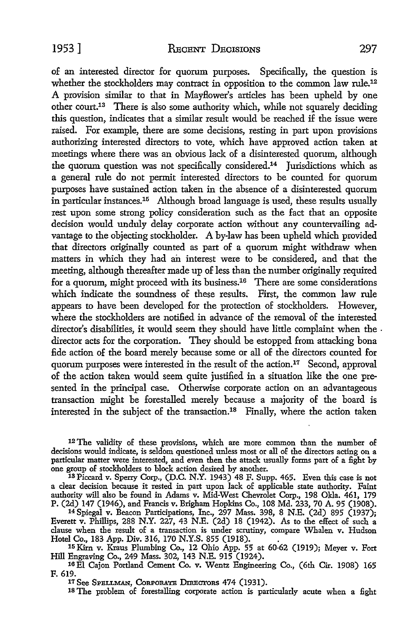of an interested director for quorum purposes. Specifically, the question is whether the stockholders may contract in opposition to the common law rule.<sup>12</sup> A provision similar to that in Mayflower's articles has been upheld by one other court.13 There is also some authority which, while not squarely deciding this question, indicates that a similar result would be reached if the issue were raised. For example, there are some decisions, resting in part upon provisions authorizing interested directors to vote, which have approved action taken at meetings where there was an obvious lack of a disinterested quorum, although the quorum question was not specifically considered.14 Jurisdictions which as a general rule do not permit interested directors to be counted for quorum purposes have sustained action taken in the absence of a disinterested quorum in particular instances.15 Although broad language is used, these results usually rest upon some strong policy consideration such as the fact that an opposite decision would unduly delay corporate action without any countervailing advantage to the objecting stockholder. A by-law has been upheld which provided that directors originally counted as part of a quorum might withdraw when matters in which they had an interest were to be considered, and that the meeting, although thereafter made up of less than the number originally required for a quorum, might proceed with its business.16 There are some considerations which indicate the soundness of these results. First, the common law rule appears to have been developed for the protection of stockholders. However, where the stockholders are notified in advance of the removal of the interested director's disabilities, it would seem they should have little complaint when the . director acts for the corporation. They should be estopped from attacking bona fide action of the board merely because some or all of the directors counted for quorum purposes were interested in the result of the action.<sup>17</sup> Second, approval of the action taken would seem quite justified in a situation like the one presented in the principal case. Otherwise corporate action on an advantageous transaction might be forestalled merely because a majority of the board is interested in the subject of the transaction.18 Finally, where the action taken

12 The validity of these provisions, which are more common than the number of decisions would indicate, is seldom questioned unless most or all of the directors acting on a particular matter were interested, and even then the attack usually forms part of a fight by one group of stockholders to block action desired by another.<br><sup>13</sup> Piccard v. Sperry Corp., (D.C. N.Y. 1943) 48 F. Supp. 465. Even this case is not

a clear decision because it rested in part upon lack of applicable state authority. Faint authority will also be found in Adams v. Mid-West Chevrolet Corp., 198 Okla. 461, 179 P. (2d) 147 (1946), and Francis v. Brigham Hopkins Co., 108 Md. 233, 70 A. 95 (1908).

<sup>14</sup>Spiegal v. Beacon Participations, Inc., 297 Mass. 398, 8 N.E. (2d) 895 (1937); Everett v. Phillips, 288 N.Y. 227, 43 N.E. (2d) 18 (1942). As to the effect of such a clause when the result of a transaction is under scrutiny, compare Whalen v. Hudson Hotel Co., 183 App. Div. 316, 170 N.Y.S. 855 (1918). .

15 Kirn v. Kraus Plumbing Co., 12 Ohio App. 55 at 60-62 (1919); Meyer v. Fort Hill Engraving Co., 249 Mass. 302, 143 N.E. 915 (1924).

16 El Cajon Portland Cement Co. v. Wentz Engineering Co., (6th Cir. 1908) 165 F. 619.

17 See Spellman, Corporate Directors 474 (1931).

18 The problem of forestalling corporate action is particularly acute when a fight